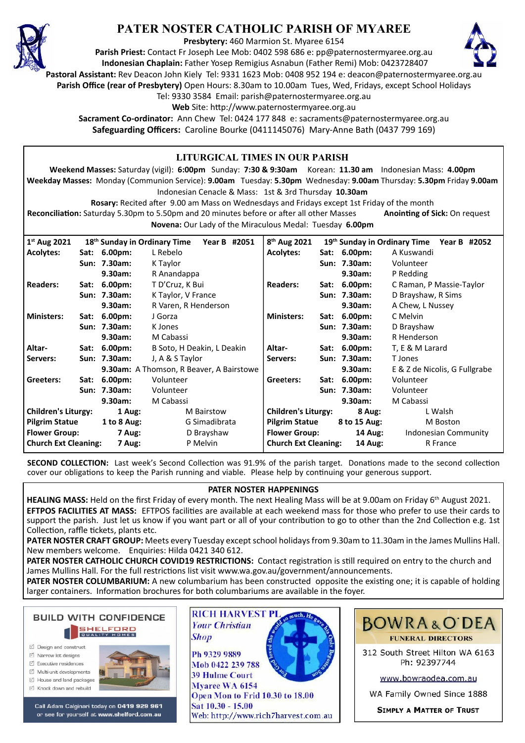

# **PATER NOSTER CATHOLIC PARISH OF MYAREE**

**Presbytery:** 460 Marmion St. Myaree 6154

**Parish Priest:** Contact Fr Joseph Lee Mob: 0402 598 686 e: pp@paternostermyaree.org.au **Indonesian Chaplain:** Father Yosep Remigius Asnabun (Father Remi) Mob: 0423728407



**Pastoral Assistant:** Rev Deacon John Kiely Tel: 9331 1623 Mob: 0408 952 194 e: deacon@paternostermyaree.org.au

**Parish Office (rear of Presbytery)** Open Hours: 8.30am to 10.00am Tues, Wed, Fridays, except School Holidays

Tel: 9330 3584 Email: parish@paternostermyaree.org.au

Web Site: http://www.paternostermyaree.org.au

**Sacrament Co-ordinator:** Ann Chew Tel: 0424 177 848 e: sacraments@paternostermyaree.org.au **Safeguarding Officers:** Caroline Bourke (0411145076) Mary-Anne Bath (0437 799 169)

| <b>LITURGICAL TIMES IN OUR PARISH</b>                                                                                             |      |              |                                          |  |                             |  |                                              |                               |  |  |
|-----------------------------------------------------------------------------------------------------------------------------------|------|--------------|------------------------------------------|--|-----------------------------|--|----------------------------------------------|-------------------------------|--|--|
| Weekend Masses: Saturday (vigil): 6:00pm Sunday: 7:30 & 9:30am Korean: 11.30 am Indonesian Mass: 4.00pm                           |      |              |                                          |  |                             |  |                                              |                               |  |  |
| Weekday Masses: Monday (Communion Service): 9.00am Tuesday: 5.30pm Wednesday: 9.00am Thursday: 5.30pm Friday 9.00am               |      |              |                                          |  |                             |  |                                              |                               |  |  |
| Indonesian Cenacle & Mass: 1st & 3rd Thursday 10.30am                                                                             |      |              |                                          |  |                             |  |                                              |                               |  |  |
| Rosary: Recited after 9.00 am Mass on Wednesdays and Fridays except 1st Friday of the month                                       |      |              |                                          |  |                             |  |                                              |                               |  |  |
| Reconciliation: Saturday 5.30pm to 5.50pm and 20 minutes before or after all other Masses<br><b>Anointing of Sick: On request</b> |      |              |                                          |  |                             |  |                                              |                               |  |  |
| Novena: Our Lady of the Miraculous Medal: Tuesday 6.00pm                                                                          |      |              |                                          |  |                             |  |                                              |                               |  |  |
| 1st Aug 2021<br>8 <sup>th</sup> Aug 2021<br>18 <sup>th</sup> Sunday in Ordinary Time<br>Year B #2051                              |      |              |                                          |  |                             |  | 19th Sunday in Ordinary Time<br>Year B #2052 |                               |  |  |
| <b>Acolytes:</b>                                                                                                                  | Sat: | $6.00pm$ :   | L Rebelo                                 |  | <b>Acolytes:</b>            |  | Sat: 6.00pm:                                 | A Kuswandi                    |  |  |
|                                                                                                                                   |      | Sun: 7.30am: | K Taylor                                 |  |                             |  | Sun: 7.30am:                                 | Volunteer                     |  |  |
|                                                                                                                                   |      | 9.30am:      | R Anandappa                              |  |                             |  | 9.30am:                                      | P Redding                     |  |  |
| <b>Readers:</b>                                                                                                                   | Sat: | $6.00pm$ :   | T D'Cruz, K Bui                          |  | <b>Readers:</b>             |  | Sat: 6.00pm:                                 | C Raman, P Massie-Taylor      |  |  |
|                                                                                                                                   |      | Sun: 7.30am: | K Taylor, V France                       |  |                             |  | Sun: 7.30am:                                 | D Brayshaw, R Sims            |  |  |
|                                                                                                                                   |      | 9.30am:      | R Varen, R Henderson                     |  |                             |  | 9.30am:                                      | A Chew, L Nussey              |  |  |
| <b>Ministers:</b>                                                                                                                 | Sat: | 6.00pm:      | J Gorza                                  |  | <b>Ministers:</b>           |  | Sat: 6.00pm:                                 | C Melvin                      |  |  |
|                                                                                                                                   |      | Sun: 7.30am: | K Jones                                  |  |                             |  | Sun: 7.30am:                                 | D Brayshaw                    |  |  |
|                                                                                                                                   |      | 9.30am:      | M Cabassi                                |  |                             |  | 9.30am:                                      | R Henderson                   |  |  |
| Altar-                                                                                                                            |      | Sat: 6.00pm: | B Soto, H Deakin, L Deakin               |  | Altar-                      |  | Sat: 6.00pm:                                 | T, E & M Larard               |  |  |
| Servers:                                                                                                                          |      | Sun: 7.30am: | J, A & S Taylor                          |  | Servers:                    |  | Sun: 7.30am:                                 | T Jones                       |  |  |
|                                                                                                                                   |      |              | 9.30am: A Thomson, R Beaver, A Bairstowe |  |                             |  | 9.30am:                                      | E & Z de Nicolis, G Fullgrabe |  |  |
| Greeters:                                                                                                                         | Sat: | $6.00pm$ :   | Volunteer                                |  | Greeters:                   |  | Sat: 6.00pm:                                 | Volunteer                     |  |  |
|                                                                                                                                   |      | Sun: 7.30am: | Volunteer                                |  |                             |  | Sun: 7.30am:                                 | Volunteer                     |  |  |
|                                                                                                                                   |      | 9.30am:      | M Cabassi                                |  |                             |  | 9.30am:                                      | M Cabassi                     |  |  |
| <b>Children's Liturgy:</b>                                                                                                        |      | 1 Aug:       | <b>M</b> Bairstow                        |  | <b>Children's Liturgy:</b>  |  | 8 Aug:                                       | L Walsh                       |  |  |
| <b>Pilgrim Statue</b>                                                                                                             |      | 1 to 8 Aug:  | G Simadibrata                            |  | <b>Pilgrim Statue</b>       |  | 8 to 15 Aug:                                 | M Boston                      |  |  |
| <b>Flower Group:</b>                                                                                                              |      | 7 Aug:       | D Brayshaw                               |  | <b>Flower Group:</b>        |  | <b>14 Aug:</b>                               | <b>Indonesian Community</b>   |  |  |
| <b>Church Ext Cleaning:</b>                                                                                                       |      | 7 Aug:       | P Melvin                                 |  | <b>Church Ext Cleaning:</b> |  | <b>14 Aug:</b>                               | R France                      |  |  |

**SECOND COLLECTION:** Last week's Second Collection was 91.9% of the parish target. Donations made to the second collection cover our obligations to keep the Parish running and viable. Please help by continuing your generous support.

#### **PATER NOSTER HAPPENINGS**

**HEALING MASS:** Held on the first Friday of every month. The next Healing Mass will be at 9.00am on Friday 6th August 2021. **EFTPOS FACILITIES AT MASS:** EFTPOS facili�es are available at each weekend mass for those who prefer to use their cards to support the parish. Just let us know if you want part or all of your contribution to go to other than the 2nd Collection e.g. 1st Collection, raffle tickets, plants etc.

**PATER NOSTER CRAFT GROUP:** Meets every Tuesday except school holidays from 9.30am to 11.30am in the James Mullins Hall. New members welcome. Enquiries: Hilda 0421 340 612.

PATER NOSTER CATHOLIC CHURCH COVID19 RESTRICTIONS: Contact registration is still required on entry to the church and James Mullins Hall. For the full restrictions list visit www.wa.gov.au/government/announcements.

**PATER NOSTER COLUMBARIUM:** A new columbarium has been constructed opposite the existing one; it is capable of holding larger containers. Information brochures for both columbariums are available in the foyer.



- ☑ Design and construct
- $\triangledown$  Narrow lot designs
- $\triangledown$  Executive residences Multi-unit developments
- M House and land packages
- ☑ Knock down and rebuild



Call Adam Calginari today on 0419 929 961 or see for yourself at www.shelford.com.au



Ph 9329 9889 Mob 0422 239 788 **39 Hulme Court** Myaree WA 6154 Open Mon to Frid 10.30 to 18.00 Sat 10.30 - 15.00 Web: http://www.rich7harvest.com.au

**Shop** 



312 South Street Hilton WA 6163 Ph: 92397744

www.bowraodea.com.au

WA Family Owned Since 1888

**SIMPLY A MATTER OF TRUST**